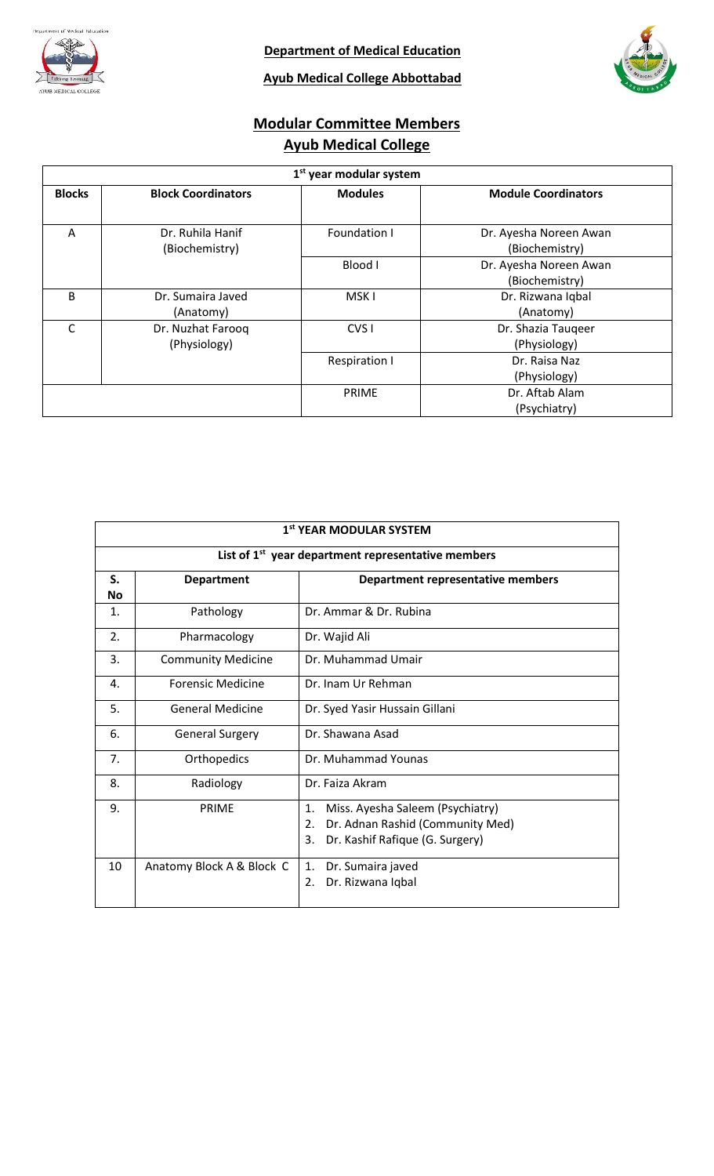

**Ayub Medical College Abbottabad**

# **Modular Committee Members Ayub Medical College**

| 1 <sup>st</sup> year modular system |                                    |                      |                                          |  |
|-------------------------------------|------------------------------------|----------------------|------------------------------------------|--|
| <b>Blocks</b>                       | <b>Block Coordinators</b>          | <b>Modules</b>       | <b>Module Coordinators</b>               |  |
| A                                   | Dr. Ruhila Hanif<br>(Biochemistry) | Foundation I         | Dr. Ayesha Noreen Awan<br>(Biochemistry) |  |
|                                     |                                    | Blood I              | Dr. Ayesha Noreen Awan<br>(Biochemistry) |  |
| B                                   | Dr. Sumaira Javed<br>(Anatomy)     | MSK <sub>I</sub>     | Dr. Rizwana Iqbal<br>(Anatomy)           |  |
| C                                   | Dr. Nuzhat Farooq<br>(Physiology)  | CVS <sub>I</sub>     | Dr. Shazia Taugeer<br>(Physiology)       |  |
|                                     |                                    | <b>Respiration I</b> | Dr. Raisa Naz<br>(Physiology)            |  |
|                                     |                                    | <b>PRIME</b>         | Dr. Aftab Alam<br>(Psychiatry)           |  |

| 1st YEAR MODULAR SYSTEM |                           |                                                                                                                                         |  |  |
|-------------------------|---------------------------|-----------------------------------------------------------------------------------------------------------------------------------------|--|--|
|                         |                           | List of 1 <sup>st</sup> year department representative members                                                                          |  |  |
| S.<br>Νo                | <b>Department</b>         | Department representative members                                                                                                       |  |  |
| 1.                      | Pathology                 | Dr. Ammar & Dr. Rubina                                                                                                                  |  |  |
| 2.                      | Pharmacology              | Dr. Wajid Ali                                                                                                                           |  |  |
| 3.                      | <b>Community Medicine</b> | Dr. Muhammad Umair                                                                                                                      |  |  |
| 4.                      | <b>Forensic Medicine</b>  | Dr. Inam Ur Rehman                                                                                                                      |  |  |
| 5.                      | <b>General Medicine</b>   | Dr. Syed Yasir Hussain Gillani                                                                                                          |  |  |
| 6.                      | <b>General Surgery</b>    | Dr. Shawana Asad                                                                                                                        |  |  |
| 7.                      | Orthopedics               | Dr. Muhammad Younas                                                                                                                     |  |  |
| 8.                      | Radiology                 | Dr. Faiza Akram                                                                                                                         |  |  |
| 9.                      | <b>PRIME</b>              | Miss. Ayesha Saleem (Psychiatry)<br>1.<br>Dr. Adnan Rashid (Community Med)<br>$\overline{2}$ .<br>Dr. Kashif Rafique (G. Surgery)<br>3. |  |  |
| 10                      | Anatomy Block A & Block C | Dr. Sumaira javed<br>1.<br>Dr. Rizwana Iqbal<br>2.                                                                                      |  |  |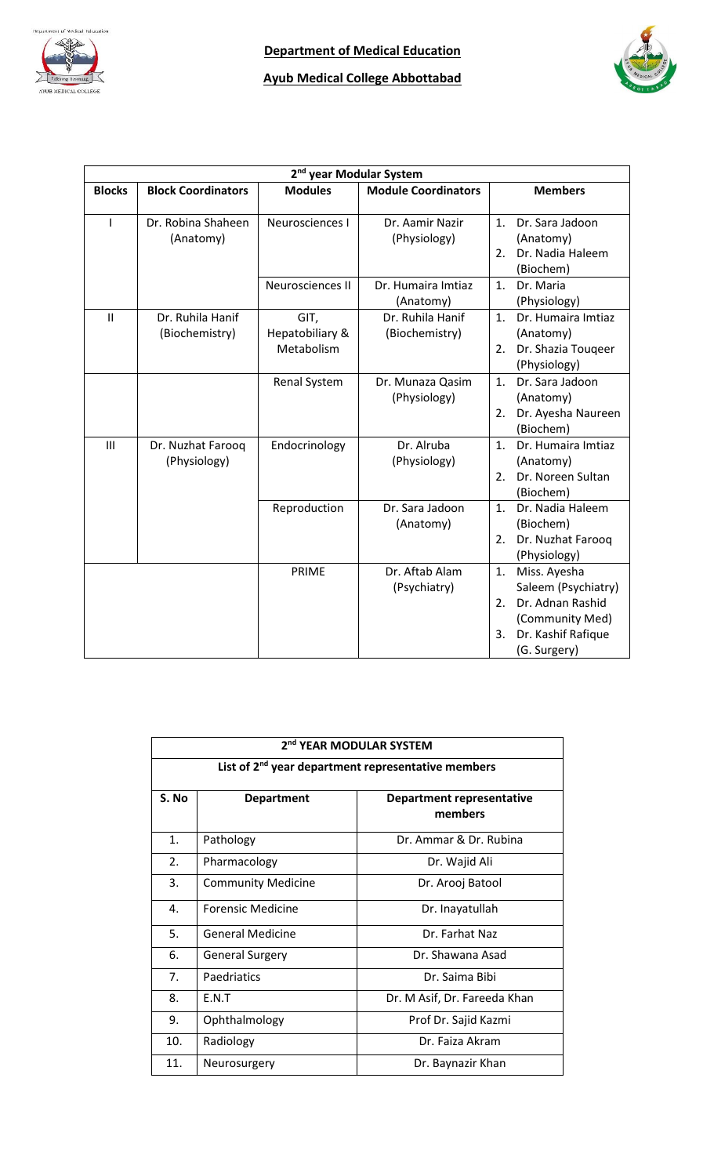

## **Ayub Medical College Abbottabad**



| 2 <sup>nd</sup> year Modular System |                                    |                                       |                                    |                                                                                                                                    |  |
|-------------------------------------|------------------------------------|---------------------------------------|------------------------------------|------------------------------------------------------------------------------------------------------------------------------------|--|
| <b>Blocks</b>                       | <b>Block Coordinators</b>          | <b>Modules</b>                        | <b>Module Coordinators</b>         | <b>Members</b>                                                                                                                     |  |
| I                                   | Dr. Robina Shaheen<br>(Anatomy)    | Neurosciences I                       | Dr. Aamir Nazir<br>(Physiology)    | Dr. Sara Jadoon<br>1.<br>(Anatomy)<br>Dr. Nadia Haleem<br>2.<br>(Biochem)                                                          |  |
|                                     |                                    | Neurosciences II                      | Dr. Humaira Imtiaz<br>(Anatomy)    | Dr. Maria<br>$\mathbf{1}$ .<br>(Physiology)                                                                                        |  |
| $\mathbf{II}$                       | Dr. Ruhila Hanif<br>(Biochemistry) | GIT,<br>Hepatobiliary &<br>Metabolism | Dr. Ruhila Hanif<br>(Biochemistry) | Dr. Humaira Imtiaz<br>1.<br>(Anatomy)<br>Dr. Shazia Touqeer<br>2.<br>(Physiology)                                                  |  |
|                                     |                                    | Renal System                          | Dr. Munaza Qasim<br>(Physiology)   | Dr. Sara Jadoon<br>1 <sub>1</sub><br>(Anatomy)<br>Dr. Ayesha Naureen<br>2.<br>(Biochem)                                            |  |
| $\mathbf{III}$                      | Dr. Nuzhat Farooq<br>(Physiology)  | Endocrinology                         | Dr. Alruba<br>(Physiology)         | Dr. Humaira Imtiaz<br>$\mathbf{1}$ .<br>(Anatomy)<br>Dr. Noreen Sultan<br>$\overline{2}$ .<br>(Biochem)                            |  |
|                                     |                                    | Reproduction                          | Dr. Sara Jadoon<br>(Anatomy)       | Dr. Nadia Haleem<br>$\mathbf{1}$ .<br>(Biochem)<br>Dr. Nuzhat Farooq<br>2.<br>(Physiology)                                         |  |
|                                     |                                    | PRIME                                 | Dr. Aftab Alam<br>(Psychiatry)     | Miss. Ayesha<br>1.<br>Saleem (Psychiatry)<br>Dr. Adnan Rashid<br>2.<br>(Community Med)<br>Dr. Kashif Rafique<br>3.<br>(G. Surgery) |  |

| 2 <sup>nd</sup> YEAR MODULAR SYSTEM                            |                                                                  |                              |  |  |
|----------------------------------------------------------------|------------------------------------------------------------------|------------------------------|--|--|
| List of 2 <sup>nd</sup> year department representative members |                                                                  |                              |  |  |
| S. No                                                          | <b>Department representative</b><br><b>Department</b><br>members |                              |  |  |
| 1.                                                             | Pathology                                                        | Dr. Ammar & Dr. Rubina       |  |  |
| 2.                                                             | Pharmacology                                                     | Dr. Wajid Ali                |  |  |
| 3.                                                             | <b>Community Medicine</b>                                        | Dr. Arooj Batool             |  |  |
| 4.                                                             | Forensic Medicine                                                | Dr. Inayatullah              |  |  |
| 5.                                                             | <b>General Medicine</b>                                          | Dr. Farhat Naz               |  |  |
| 6.                                                             | <b>General Surgery</b>                                           | Dr. Shawana Asad             |  |  |
| 7.                                                             | Paedriatics                                                      | Dr. Saima Bibi               |  |  |
| 8.                                                             | E.N.T                                                            | Dr. M Asif, Dr. Fareeda Khan |  |  |
| 9.                                                             | Ophthalmology                                                    | Prof Dr. Sajid Kazmi         |  |  |
| 10.                                                            | Radiology                                                        | Dr. Faiza Akram              |  |  |
| 11.                                                            | Neurosurgery                                                     | Dr. Baynazir Khan            |  |  |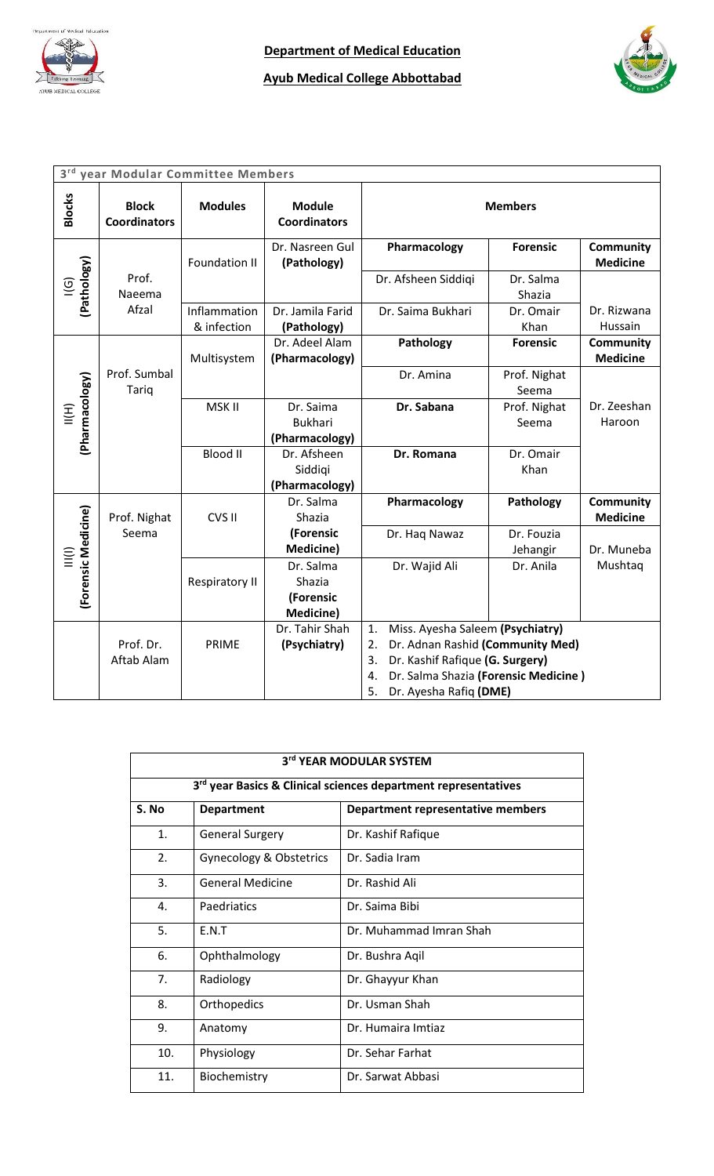



| 3 <sup>rd</sup><br>year Modular Committee Members |                                     |                             |                                       |                                            |                       |                                     |
|---------------------------------------------------|-------------------------------------|-----------------------------|---------------------------------------|--------------------------------------------|-----------------------|-------------------------------------|
| <b>Blocks</b>                                     | <b>Block</b><br><b>Coordinators</b> | <b>Modules</b>              | <b>Module</b><br><b>Coordinators</b>  |                                            | <b>Members</b>        |                                     |
|                                                   |                                     | <b>Foundation II</b>        | Dr. Nasreen Gul<br>(Pathology)        | Pharmacology                               | <b>Forensic</b>       | <b>Community</b><br><b>Medicine</b> |
| $ (G)$<br>(Pathology)                             | Prof.<br>Naeema                     |                             |                                       | Dr. Afsheen Siddiqi                        | Dr. Salma<br>Shazia   |                                     |
|                                                   | Afzal                               | Inflammation<br>& infection | Dr. Jamila Farid<br>(Pathology)       | Dr. Saima Bukhari                          | Dr. Omair<br>Khan     | Dr. Rizwana<br>Hussain              |
|                                                   |                                     | Multisystem                 | Dr. Adeel Alam<br>(Pharmacology)      | Pathology                                  | <b>Forensic</b>       | <b>Community</b><br><b>Medicine</b> |
|                                                   | Prof. Sumbal<br><b>Tariq</b>        |                             |                                       | Dr. Amina                                  | Prof. Nighat<br>Seema |                                     |
| (Pharmacology)<br>$\equiv$                        |                                     | MSK II                      | Dr. Saima<br><b>Bukhari</b>           | Dr. Sabana                                 | Prof. Nighat<br>Seema | Dr. Zeeshan<br>Haroon               |
|                                                   |                                     |                             | (Pharmacology)                        |                                            |                       |                                     |
|                                                   |                                     | <b>Blood II</b>             | Dr. Afsheen                           | Dr. Romana                                 | Dr. Omair             |                                     |
|                                                   |                                     |                             | Siddigi                               |                                            | Khan                  |                                     |
|                                                   |                                     |                             | (Pharmacology)                        |                                            |                       |                                     |
|                                                   |                                     |                             | Dr. Salma                             | Pharmacology                               | Pathology             | Community                           |
|                                                   | Prof. Nighat                        | CVS II                      | Shazia                                |                                            |                       | <b>Medicine</b>                     |
|                                                   | Seema                               |                             | (Forensic<br><b>Medicine)</b>         | Dr. Haq Nawaz                              | Dr. Fouzia            | Dr. Muneba                          |
| (Forensic Medicine)<br>$\sum_{i=1}^{n}$           |                                     |                             | Dr. Salma                             | Dr. Wajid Ali                              | Jehangir<br>Dr. Anila | Mushtaq                             |
|                                                   |                                     | <b>Respiratory II</b>       | Shazia                                |                                            |                       |                                     |
|                                                   |                                     |                             | (Forensic                             |                                            |                       |                                     |
|                                                   |                                     |                             | <b>Medicine)</b>                      |                                            |                       |                                     |
|                                                   |                                     |                             | Dr. Tahir Shah                        | Miss. Ayesha Saleem (Psychiatry)<br>1.     |                       |                                     |
| Prof. Dr.                                         |                                     | PRIME                       | (Psychiatry)                          | Dr. Adnan Rashid (Community Med)<br>2.     |                       |                                     |
|                                                   | Aftab Alam                          |                             | Dr. Kashif Rafique (G. Surgery)<br>3. |                                            |                       |                                     |
|                                                   |                                     |                             |                                       | Dr. Salma Shazia (Forensic Medicine)<br>4. |                       |                                     |
|                                                   |                                     |                             |                                       | 5.<br>Dr. Ayesha Rafiq (DME)               |                       |                                     |

| 3rd YEAR MODULAR SYSTEM |                                    |                                                                            |  |  |
|-------------------------|------------------------------------|----------------------------------------------------------------------------|--|--|
|                         |                                    | 3 <sup>rd</sup> year Basics & Clinical sciences department representatives |  |  |
| S. No                   | <b>Department</b>                  | Department representative members                                          |  |  |
| 1.                      | <b>General Surgery</b>             | Dr. Kashif Rafique                                                         |  |  |
| 2.                      | <b>Gynecology &amp; Obstetrics</b> | Dr. Sadia Iram                                                             |  |  |
| 3.                      | <b>General Medicine</b>            | Dr. Rashid Ali                                                             |  |  |
| 4.                      | Paedriatics                        | Dr. Saima Bibi                                                             |  |  |
| 5.                      | F.N.T                              | Dr. Muhammad Imran Shah                                                    |  |  |
| 6.                      | Ophthalmology                      | Dr. Bushra Agil                                                            |  |  |
| 7.                      | Radiology                          | Dr. Ghayyur Khan                                                           |  |  |
| 8.                      | Orthopedics                        | Dr. Usman Shah                                                             |  |  |
| 9.                      | Anatomy                            | Dr. Humaira Imtiaz                                                         |  |  |
| 10.                     | Physiology                         | Dr. Sehar Farhat                                                           |  |  |
| 11.                     | Biochemistry                       | Dr. Sarwat Abbasi                                                          |  |  |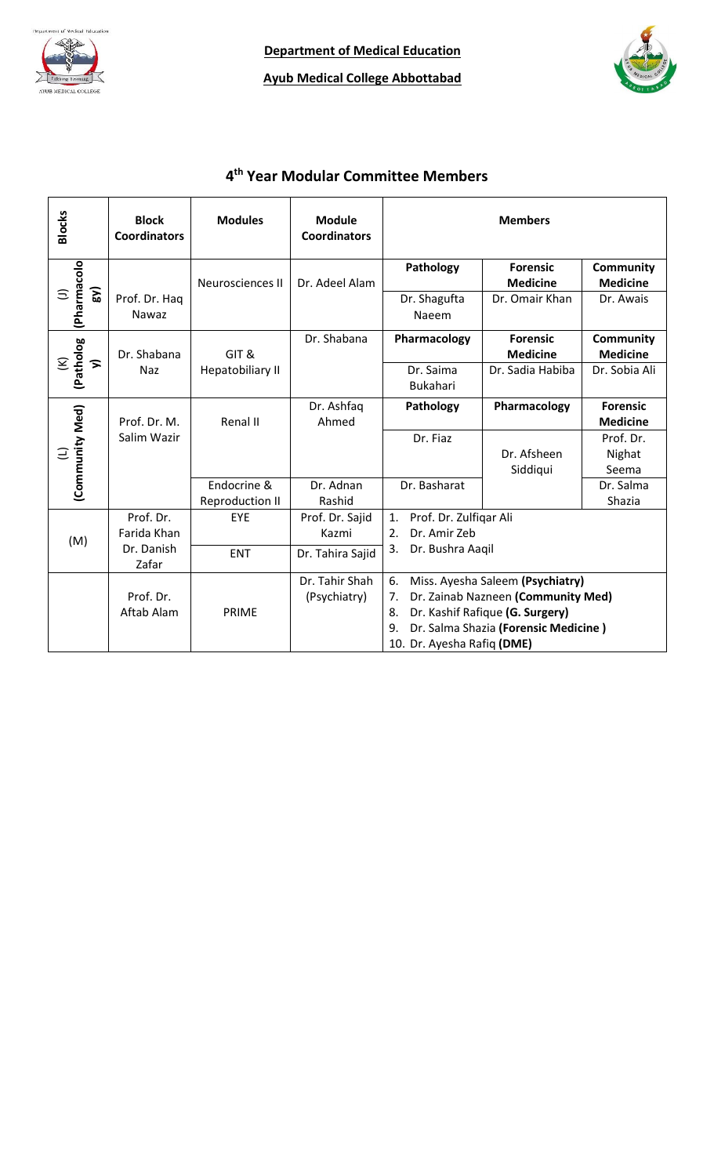



#### **4 th Year Modular Committee Members**

| <b>Blocks</b>                      | <b>Block</b><br><b>Coordinators</b> | <b>Modules</b>                 | <b>Module</b><br><b>Coordinators</b> |                                                    | <b>Members</b>                                                                                                                                    |                                     |
|------------------------------------|-------------------------------------|--------------------------------|--------------------------------------|----------------------------------------------------|---------------------------------------------------------------------------------------------------------------------------------------------------|-------------------------------------|
|                                    |                                     | Neurosciences II               | Dr. Adeel Alam                       | Pathology                                          | <b>Forensic</b><br><b>Medicine</b>                                                                                                                | <b>Community</b><br><b>Medicine</b> |
| (Pharmacolo<br>SV)<br>Ξ            | Prof. Dr. Hag<br>Nawaz              |                                |                                      | Dr. Shagufta<br>Naeem                              | Dr. Omair Khan                                                                                                                                    | Dr. Awais                           |
|                                    | Dr. Shabana                         | GIT&                           | Dr. Shabana                          | Pharmacology                                       | <b>Forensic</b><br><b>Medicine</b>                                                                                                                | <b>Community</b><br><b>Medicine</b> |
| (Patholog<br>$\widehat{\leq}$<br>ゝ | Naz                                 | Hepatobiliary II               |                                      | Dr. Saima<br><b>Bukahari</b>                       | Dr. Sadia Habiba                                                                                                                                  | Dr. Sobia Ali                       |
|                                    | Prof. Dr. M.                        | Renal II                       | Dr. Ashfaq<br>Ahmed                  | Pathology                                          | Pharmacology                                                                                                                                      | <b>Forensic</b><br><b>Medicine</b>  |
| (Community Med)<br>Ξ               | Salim Wazir                         |                                |                                      | Dr. Fiaz                                           | Dr. Afsheen<br>Siddiqui                                                                                                                           | Prof. Dr.<br>Nighat<br>Seema        |
|                                    |                                     | Endocrine &<br>Reproduction II | Dr. Adnan<br>Rashid                  | Dr. Basharat                                       |                                                                                                                                                   | Dr. Salma<br>Shazia                 |
| (M)                                | Prof. Dr.<br>Farida Khan            | EYE                            | Prof. Dr. Sajid<br>Kazmi             | 1.<br>Prof. Dr. Zulfigar Ali<br>Dr. Amir Zeb<br>2. |                                                                                                                                                   |                                     |
|                                    | Dr. Danish<br>Zafar                 | <b>ENT</b>                     | Dr. Tahira Sajid                     | 3.<br>Dr. Bushra Aaqil                             |                                                                                                                                                   |                                     |
|                                    | Prof. Dr.<br>Aftab Alam             | PRIME                          | Dr. Tahir Shah<br>(Psychiatry)       | 6.<br>7.<br>8.<br>9.<br>10. Dr. Ayesha Rafiq (DME) | Miss. Ayesha Saleem (Psychiatry)<br>Dr. Zainab Nazneen (Community Med)<br>Dr. Kashif Rafique (G. Surgery)<br>Dr. Salma Shazia (Forensic Medicine) |                                     |